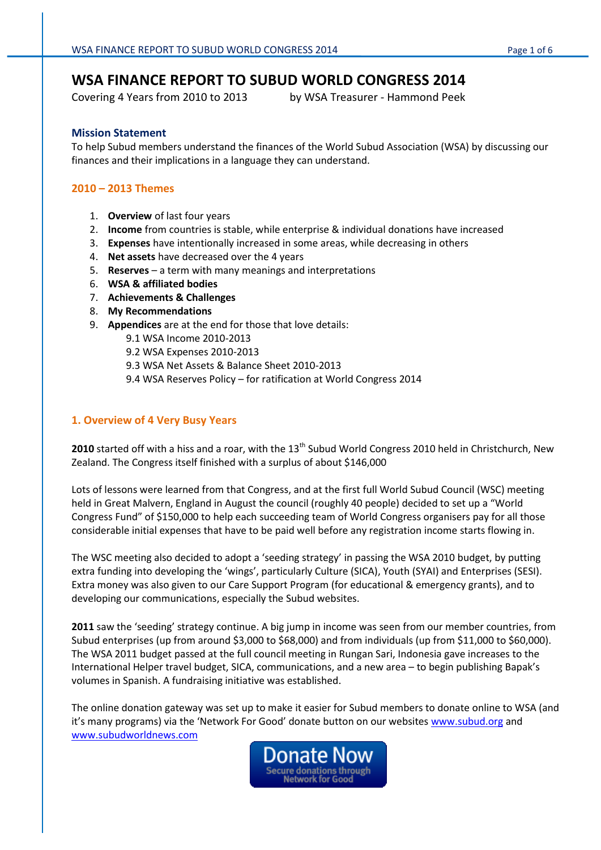# **WSA FINANCE REPORT TO SUBUD WORLD CONGRESS 2014**

Covering 4 Years from 2010 to 2013 by WSA Treasurer - Hammond Peek

#### **Mission Statement**

To help Subud members understand the finances of the World Subud Association (WSA) by discussing our finances and their implications in a language they can understand.

# **2010 – 2013 Themes**

- 1. **Overview** of last four years
- 2. **Income** from countries is stable, while enterprise & individual donations have increased
- 3. **Expenses** have intentionally increased in some areas, while decreasing in others
- 4. **Net assets** have decreased over the 4 years
- 5. **Reserves**  a term with many meanings and interpretations
- 6. **WSA & affiliated bodies**
- 7. **Achievements & Challenges**
- 8. **My Recommendations**
- 9. **Appendices** are at the end for those that love details:
	- 9.1 WSA Income 2010-2013
	- 9.2 WSA Expenses 2010-2013
	- 9.3 WSA Net Assets & Balance Sheet 2010-2013
	- 9.4 WSA Reserves Policy for ratification at World Congress 2014

## **1. Overview of 4 Very Busy Years**

2010 started off with a hiss and a roar, with the 13<sup>th</sup> Subud World Congress 2010 held in Christchurch, New Zealand. The Congress itself finished with a surplus of about \$146,000

Lots of lessons were learned from that Congress, and at the first full World Subud Council (WSC) meeting held in Great Malvern, England in August the council (roughly 40 people) decided to set up a "World Congress Fund" of \$150,000 to help each succeeding team of World Congress organisers pay for all those considerable initial expenses that have to be paid well before any registration income starts flowing in.

The WSC meeting also decided to adopt a 'seeding strategy' in passing the WSA 2010 budget, by putting extra funding into developing the 'wings', particularly Culture (SICA), Youth (SYAI) and Enterprises (SESI). Extra money was also given to our Care Support Program (for educational & emergency grants), and to developing our communications, especially the Subud websites.

**2011** saw the 'seeding' strategy continue. A big jump in income was seen from our member countries, from Subud enterprises (up from around \$3,000 to \$68,000) and from individuals (up from \$11,000 to \$60,000). The WSA 2011 budget passed at the full council meeting in Rungan Sari, Indonesia gave increases to the International Helper travel budget, SICA, communications, and a new area – to begin publishing Bapak's volumes in Spanish. A fundraising initiative was established.

The online donation gateway was set up to make it easier for Subud members to donate online to WSA (and it's many programs) via the 'Network For Good' donate button on our websites [www.subud.org](http://www.subud.org/) and [www.subudworldnews.com](http://www.subudworldnews.com/)

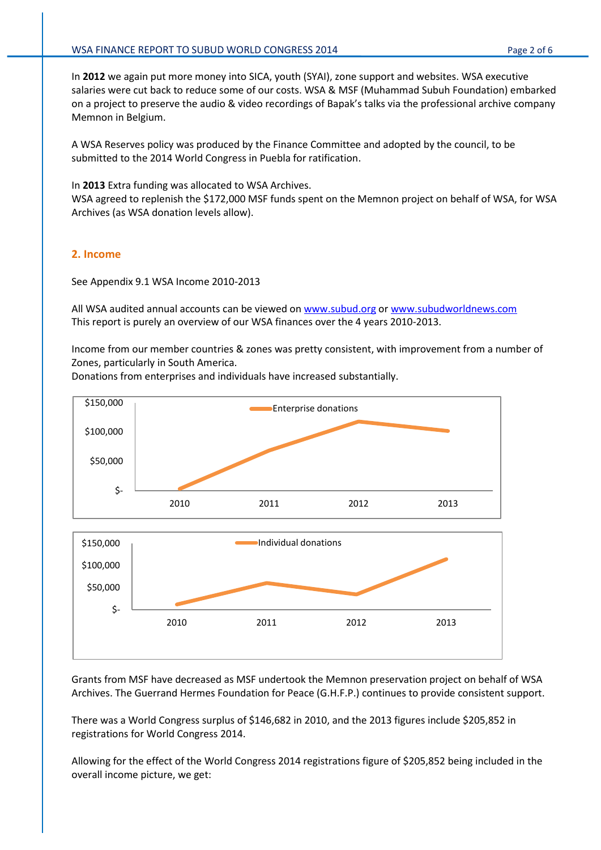In **2012** we again put more money into SICA, youth (SYAI), zone support and websites. WSA executive salaries were cut back to reduce some of our costs. WSA & MSF (Muhammad Subuh Foundation) embarked on a project to preserve the audio & video recordings of Bapak's talks via the professional archive company Memnon in Belgium.

A WSA Reserves policy was produced by the Finance Committee and adopted by the council, to be submitted to the 2014 World Congress in Puebla for ratification.

In **2013** Extra funding was allocated to WSA Archives.

WSA agreed to replenish the \$172,000 MSF funds spent on the Memnon project on behalf of WSA, for WSA Archives (as WSA donation levels allow).

#### **2. Income**

 $\mathsf{S}$ -

See Appendix 9.1 WSA Income 2010-2013

All WSA audited annual accounts can be viewed on [www.subud.org](http://www.subud.org/) or [www.subudworldnews.com](http://www.subudworldnews.com/) This report is purely an overview of our WSA finances over the 4 years 2010-2013.

Income from our member countries & zones was pretty consistent, with improvement from a number of Zones, particularly in South America.

Donations from enterprises and individuals have increased substantially.





2010 2011 2012 2013

There was a World Congress surplus of \$146,682 in 2010, and the 2013 figures include \$205,852 in registrations for World Congress 2014.

Allowing for the effect of the World Congress 2014 registrations figure of \$205,852 being included in the overall income picture, we get: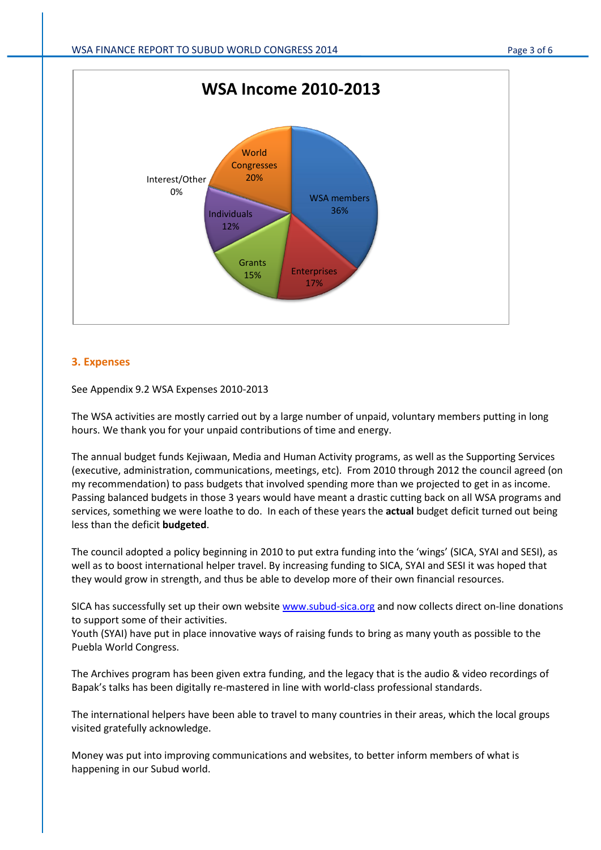

## **3. Expenses**

See Appendix 9.2 WSA Expenses 2010-2013

The WSA activities are mostly carried out by a large number of unpaid, voluntary members putting in long hours. We thank you for your unpaid contributions of time and energy.

The annual budget funds Kejiwaan, Media and Human Activity programs, as well as the Supporting Services (executive, administration, communications, meetings, etc). From 2010 through 2012 the council agreed (on my recommendation) to pass budgets that involved spending more than we projected to get in as income. Passing balanced budgets in those 3 years would have meant a drastic cutting back on all WSA programs and services, something we were loathe to do. In each of these years the **actual** budget deficit turned out being less than the deficit **budgeted**.

The council adopted a policy beginning in 2010 to put extra funding into the 'wings' (SICA, SYAI and SESI), as well as to boost international helper travel. By increasing funding to SICA, SYAI and SESI it was hoped that they would grow in strength, and thus be able to develop more of their own financial resources.

SICA has successfully set up their own websit[e www.subud-sica.org](http://www.subud-sica.org/) and now collects direct on-line donations to support some of their activities.

Youth (SYAI) have put in place innovative ways of raising funds to bring as many youth as possible to the Puebla World Congress.

The Archives program has been given extra funding, and the legacy that is the audio & video recordings of Bapak's talks has been digitally re-mastered in line with world-class professional standards.

The international helpers have been able to travel to many countries in their areas, which the local groups visited gratefully acknowledge.

Money was put into improving communications and websites, to better inform members of what is happening in our Subud world.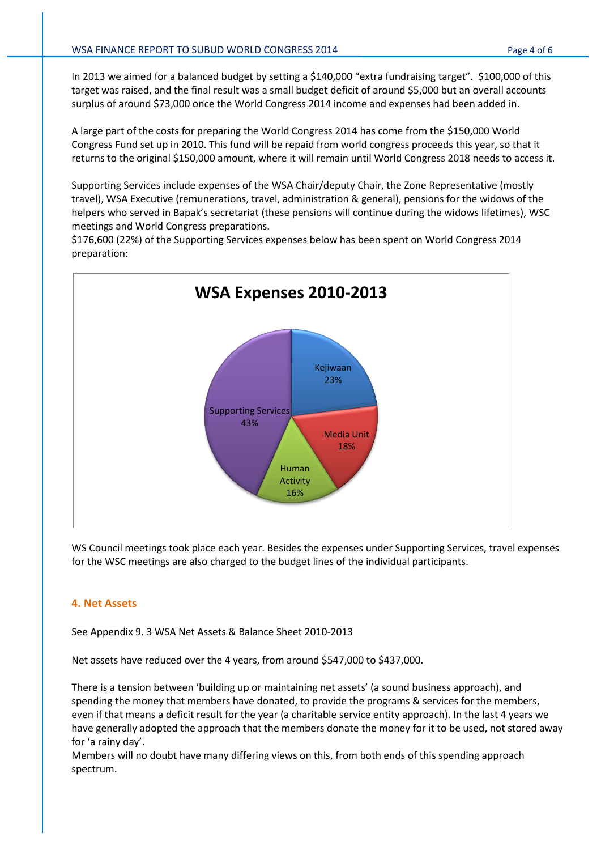In 2013 we aimed for a balanced budget by setting a \$140,000 "extra fundraising target". \$100,000 of this target was raised, and the final result was a small budget deficit of around \$5,000 but an overall accounts surplus of around \$73,000 once the World Congress 2014 income and expenses had been added in.

A large part of the costs for preparing the World Congress 2014 has come from the \$150,000 World Congress Fund set up in 2010. This fund will be repaid from world congress proceeds this year, so that it returns to the original \$150,000 amount, where it will remain until World Congress 2018 needs to access it.

Supporting Services include expenses of the WSA Chair/deputy Chair, the Zone Representative (mostly travel), WSA Executive (remunerations, travel, administration & general), pensions for the widows of the helpers who served in Bapak's secretariat (these pensions will continue during the widows lifetimes), WSC meetings and World Congress preparations.

\$176,600 (22%) of the Supporting Services expenses below has been spent on World Congress 2014 preparation:



WS Council meetings took place each year. Besides the expenses under Supporting Services, travel expenses for the WSC meetings are also charged to the budget lines of the individual participants.

#### **4. Net Assets**

See Appendix 9. 3 WSA Net Assets & Balance Sheet 2010-2013

Net assets have reduced over the 4 years, from around \$547,000 to \$437,000.

There is a tension between 'building up or maintaining net assets' (a sound business approach), and spending the money that members have donated, to provide the programs & services for the members, even if that means a deficit result for the year (a charitable service entity approach). In the last 4 years we have generally adopted the approach that the members donate the money for it to be used, not stored away for 'a rainy day'.

Members will no doubt have many differing views on this, from both ends of this spending approach spectrum.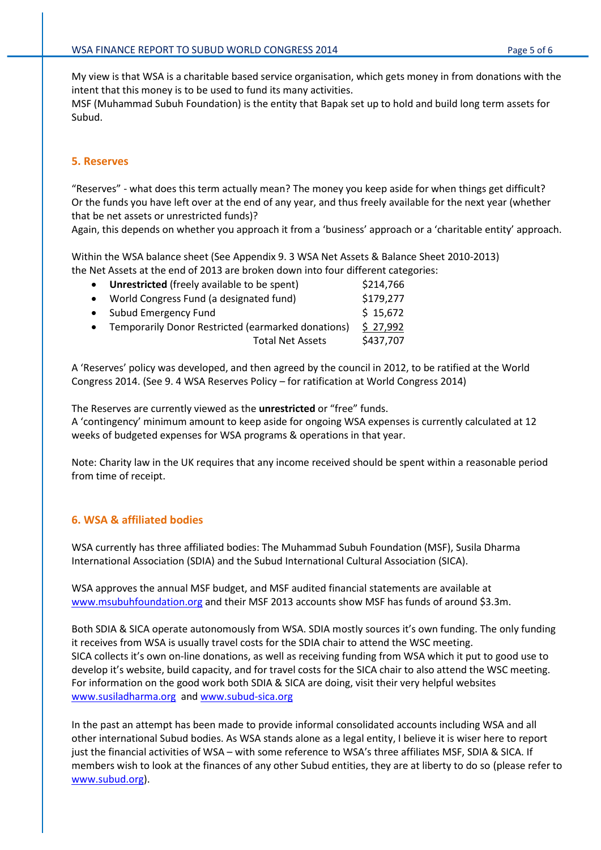My view is that WSA is a charitable based service organisation, which gets money in from donations with the intent that this money is to be used to fund its many activities.

MSF (Muhammad Subuh Foundation) is the entity that Bapak set up to hold and build long term assets for Subud.

#### **5. Reserves**

"Reserves" - what does this term actually mean? The money you keep aside for when things get difficult? Or the funds you have left over at the end of any year, and thus freely available for the next year (whether that be net assets or unrestricted funds)?

Again, this depends on whether you approach it from a 'business' approach or a 'charitable entity' approach.

Within the WSA balance sheet (See Appendix 9. 3 WSA Net Assets & Balance Sheet 2010-2013) the Net Assets at the end of 2013 are broken down into four different categories:

| $\bullet$ | <b>Unrestricted</b> (freely available to be spent) | \$214,766 |
|-----------|----------------------------------------------------|-----------|
|           | • World Congress Fund (a designated fund)          | \$179,277 |
|           | • Subud Emergency Fund                             | \$15,672  |
| $\bullet$ | Temporarily Donor Restricted (earmarked donations) | \$27,992  |
|           | <b>Total Net Assets</b>                            | \$437,707 |
|           |                                                    |           |

A 'Reserves' policy was developed, and then agreed by the council in 2012, to be ratified at the World Congress 2014. (See 9. 4 WSA Reserves Policy – for ratification at World Congress 2014)

The Reserves are currently viewed as the **unrestricted** or "free" funds. A 'contingency' minimum amount to keep aside for ongoing WSA expenses is currently calculated at 12 weeks of budgeted expenses for WSA programs & operations in that year.

Note: Charity law in the UK requires that any income received should be spent within a reasonable period from time of receipt.

#### **6. WSA & affiliated bodies**

WSA currently has three affiliated bodies: The Muhammad Subuh Foundation (MSF), Susila Dharma International Association (SDIA) and the Subud International Cultural Association (SICA).

WSA approves the annual MSF budget, and MSF audited financial statements are available at [www.msubuhfoundation.org](http://www.msubuhfoundation.org/) and their MSF 2013 accounts show MSF has funds of around \$3.3m.

Both SDIA & SICA operate autonomously from WSA. SDIA mostly sources it's own funding. The only funding it receives from WSA is usually travel costs for the SDIA chair to attend the WSC meeting. SICA collects it's own on-line donations, as well as receiving funding from WSA which it put to good use to develop it's website, build capacity, and for travel costs for the SICA chair to also attend the WSC meeting. For information on the good work both SDIA & SICA are doing, visit their very helpful websites [www.susiladharma.org](http://www.susiladharma.org/) an[d www.subud-sica.org](http://www.subud-sica.org/)

In the past an attempt has been made to provide informal consolidated accounts including WSA and all other international Subud bodies. As WSA stands alone as a legal entity, I believe it is wiser here to report just the financial activities of WSA – with some reference to WSA's three affiliates MSF, SDIA & SICA. If members wish to look at the finances of any other Subud entities, they are at liberty to do so (please refer to [www.subud.org\)](http://www.subud.org/).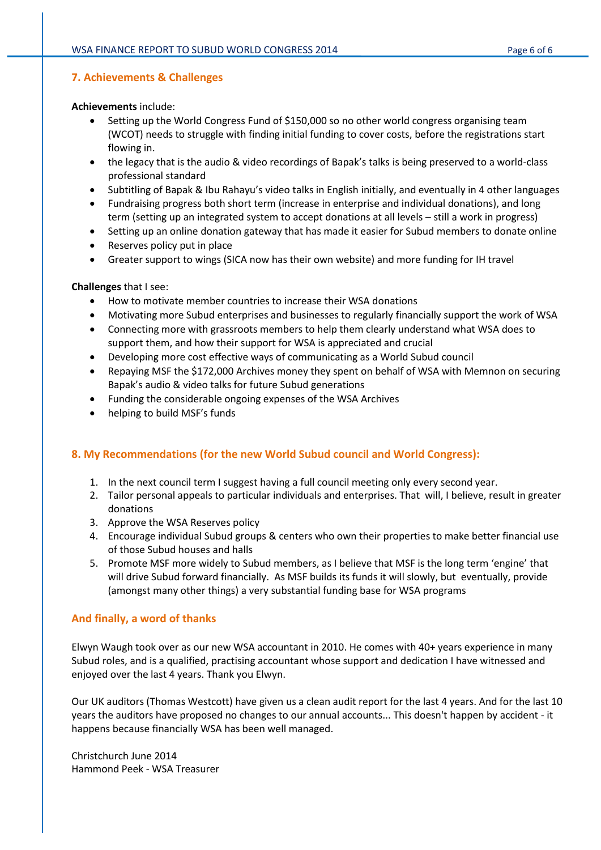#### **7. Achievements & Challenges**

#### **Achievements** include:

- Setting up the World Congress Fund of \$150,000 so no other world congress organising team (WCOT) needs to struggle with finding initial funding to cover costs, before the registrations start flowing in.
- the legacy that is the audio & video recordings of Bapak's talks is being preserved to a world-class professional standard
- Subtitling of Bapak & Ibu Rahayu's video talks in English initially, and eventually in 4 other languages
- Fundraising progress both short term (increase in enterprise and individual donations), and long term (setting up an integrated system to accept donations at all levels – still a work in progress)
- Setting up an online donation gateway that has made it easier for Subud members to donate online
- Reserves policy put in place
- Greater support to wings (SICA now has their own website) and more funding for IH travel

#### **Challenges** that I see:

- How to motivate member countries to increase their WSA donations
- Motivating more Subud enterprises and businesses to regularly financially support the work of WSA
- Connecting more with grassroots members to help them clearly understand what WSA does to support them, and how their support for WSA is appreciated and crucial
- Developing more cost effective ways of communicating as a World Subud council
- Repaying MSF the \$172,000 Archives money they spent on behalf of WSA with Memnon on securing Bapak's audio & video talks for future Subud generations
- Funding the considerable ongoing expenses of the WSA Archives
- helping to build MSF's funds

# **8. My Recommendations (for the new World Subud council and World Congress):**

- 1. In the next council term I suggest having a full council meeting only every second year.
- 2. Tailor personal appeals to particular individuals and enterprises. That will, I believe, result in greater donations
- 3. Approve the WSA Reserves policy
- 4. Encourage individual Subud groups & centers who own their properties to make better financial use of those Subud houses and halls
- 5. Promote MSF more widely to Subud members, as I believe that MSF is the long term 'engine' that will drive Subud forward financially. As MSF builds its funds it will slowly, but eventually, provide (amongst many other things) a very substantial funding base for WSA programs

#### **And finally, a word of thanks**

Elwyn Waugh took over as our new WSA accountant in 2010. He comes with 40+ years experience in many Subud roles, and is a qualified, practising accountant whose support and dedication I have witnessed and enjoyed over the last 4 years. Thank you Elwyn.

Our UK auditors (Thomas Westcott) have given us a clean audit report for the last 4 years. And for the last 10 years the auditors have proposed no changes to our annual accounts... This doesn't happen by accident - it happens because financially WSA has been well managed.

Christchurch June 2014 Hammond Peek - WSA Treasurer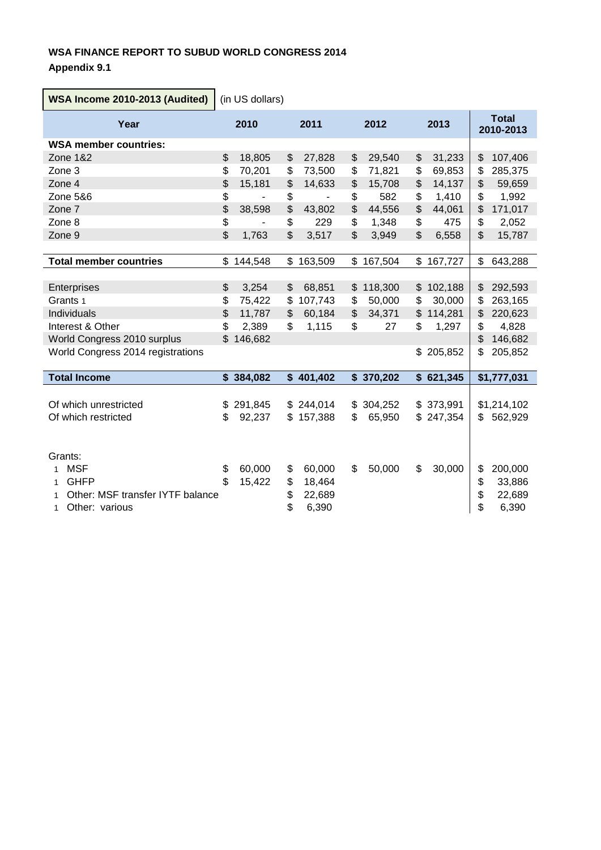# **WSA FINANCE REPORT TO SUBUD WORLD CONGRESS 2014 Appendix 9.1**

**WSA Income 2010-2013 (Audited)** (in US dollars) **Year <sup>2010</sup> <sup>2011</sup> <sup>2012</sup> <sup>2013</sup> Total 2010-2013 WSA member countries:** Zone 1&2 \$ 18,805 \$ 27,828 \$ 29,540 \$ 31,233 | \$ 107,406 Zone 3 \$ 70,201 \$ 73,500 \$ 71,821 \$ 69,853 \$ 285,375 Zone 4 \$ 15,181 \$ 14,633 \$ 15,708 \$ 14,137 | \$ 59,659 Zone 5&6 \$ - \$ - \$ 582 \$ 1,410 \$ 1,992 Zone 7 \$ 38,598 \$ 43,802 \$ 44,556 \$ 44,061 \$ 171,017 Zone 8 \$ - \$ 229 \$ 1,348 \$ 475 \$ 2,052 Zone 9 \$ 1,763 \$ 3,517 \$ 3,949 \$ 6,558 \$ 15,787 **Total member countries**  $$ 144,548 \t$ 163,509 \t$ 167,504 \t$ 167,727 \t$ 643,288$ Enterprises  $$ 3,254 $ 68,851 $ $118,300 $ $102,188 $ $292,593$ Grants 1 \$ 75,422 \$ 107,743 \$ 50,000 \$ 30,000 | \$ 263,165 Individuals \$ 11,787 \$ 60,184 \$ 34,371 \$ 114,281 \$ 220,623 Interest & Other **5 2,389 \$ 1,115 \$ 27 \$ 1,297** \$ 4,828 World Congress 2010 surplus \$ 146,682 \$ 15 and \$ 146,682 World Congress 2014 registrations **\$** 205,852 \$ 205,852 \$ 205,852 **Total Income \$ 384,082** \$ 401,402 \$ 370,202 \$ 621,345 \$1,777,031 Of which unrestricted \$ 291,845 \$ 244,014 \$ 304,252 \$ 373,991 \$1,214,102 Of which restricted  $$ 92,237 $ 157,388 $ 65,950 $ 247,354 $ $ 562,929$ Grants: 1 MSF 60,000 \$ 60,000 \$ 60,000 \$ 50,000 \$ 30,000 \$ 200,000 1 GHFP \$ 15,422 \$ 18,464 \$ 33,886 1 Other: MSF transfer IYTF balance  $\begin{array}{cccc} 1 & 22.689 & & \end{array}$   $\begin{array}{cccc} 1 & 22.689 & \end{array}$ 1 Other: various 6 6,390 \$ 6,390 \$ 6,390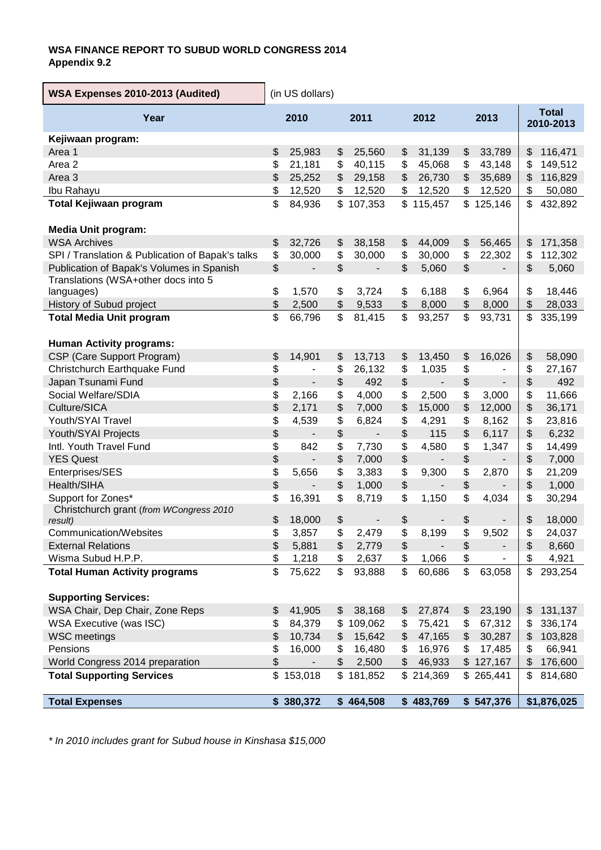# **WSA FINANCE REPORT TO SUBUD WORLD CONGRESS 2014 Appendix 9.2**

| WSA Expenses 2010-2013 (Audited)                   | (in US dollars) |                              |              |                          |                                               |                          |                                           |                          |                           |
|----------------------------------------------------|-----------------|------------------------------|--------------|--------------------------|-----------------------------------------------|--------------------------|-------------------------------------------|--------------------------|---------------------------|
| Year                                               |                 | 2010                         |              | 2011                     |                                               |                          | 2013                                      |                          | <b>Total</b><br>2010-2013 |
| Kejiwaan program:                                  |                 |                              |              |                          |                                               |                          |                                           |                          |                           |
| Area 1                                             | \$              | 25,983                       | \$           | 25,560                   | \$                                            | 31,139                   | \$                                        | 33,789                   | \$<br>116,471             |
| Area <sub>2</sub>                                  | \$              | 21,181                       | \$           | 40,115                   | \$                                            | 45,068                   | \$                                        | 43,148                   | \$<br>149,512             |
| Area <sub>3</sub>                                  | \$              | 25,252                       | \$           | 29,158                   | \$                                            | 26,730                   | \$                                        | 35,689                   | \$<br>116,829             |
| Ibu Rahayu                                         | \$              | 12,520                       | \$           | 12,520                   | \$                                            | 12,520                   | \$                                        | 12,520                   | \$<br>50,080              |
| Total Kejiwaan program                             | \$              | 84,936                       | $\mathbb{S}$ | 107,353                  |                                               | \$115,457                |                                           | \$125,146                | \$<br>432,892             |
| <b>Media Unit program:</b>                         |                 |                              |              |                          |                                               |                          |                                           |                          |                           |
| <b>WSA Archives</b>                                | \$              | 32,726                       | \$           | 38,158                   | \$                                            | 44,009                   | \$                                        | 56,465                   | \$<br>171,358             |
| SPI / Translation & Publication of Bapak's talks   | \$              | 30,000                       | \$           | 30,000                   | \$                                            | 30,000                   | \$                                        | 22,302                   | \$<br>112,302             |
| Publication of Bapak's Volumes in Spanish          | $\,$            | $\overline{\phantom{a}}$     | \$           | $\overline{\phantom{a}}$ | \$                                            | 5,060                    | \$                                        | $\overline{\phantom{a}}$ | \$<br>5,060               |
| Translations (WSA+other docs into 5                |                 |                              |              |                          |                                               |                          |                                           |                          |                           |
| languages)                                         | \$              | 1,570                        | \$           | 3,724                    | \$                                            | 6,188                    | \$                                        | 6,964                    | \$<br>18,446              |
| History of Subud project                           | \$              | 2,500                        | \$           | 9,533                    | \$                                            | 8,000                    | \$                                        | 8,000                    | \$<br>28,033              |
| <b>Total Media Unit program</b>                    | \$              | 66,796                       | \$           | 81,415                   | \$                                            | 93,257                   | \$                                        | 93,731                   | \$<br>335,199             |
|                                                    |                 |                              |              |                          |                                               |                          |                                           |                          |                           |
| <b>Human Activity programs:</b>                    |                 |                              |              |                          |                                               |                          |                                           |                          |                           |
| CSP (Care Support Program)                         | \$              | 14,901                       | \$           | 13,713                   | \$                                            | 13,450                   | \$                                        | 16,026                   | \$<br>58,090              |
| Christchurch Earthquake Fund                       | \$              | $\qquad \qquad \blacksquare$ | \$           | 26,132                   | \$                                            | 1,035                    | \$                                        |                          | \$<br>27,167              |
| Japan Tsunami Fund                                 | \$              | $\qquad \qquad \blacksquare$ | \$           | 492                      | \$                                            |                          | $\, \, \raisebox{12pt}{$\scriptstyle \$}$ |                          | \$<br>492                 |
| Social Welfare/SDIA                                | \$              | 2,166                        | \$           | 4,000                    | \$                                            | 2,500                    | \$                                        | 3,000                    | \$<br>11,666              |
| Culture/SICA                                       | \$              | 2,171                        | \$           | 7,000                    | \$                                            | 15,000                   | \$                                        | 12,000                   | \$<br>36,171              |
| Youth/SYAI Travel                                  | \$              | 4,539                        | \$           | 6,824                    | \$                                            | 4,291                    | \$                                        | 8,162                    | \$<br>23,816              |
| Youth/SYAI Projects                                | \$              |                              | \$           |                          | \$                                            | 115                      | \$                                        | 6,117                    | \$<br>6,232               |
| Intl. Youth Travel Fund                            | \$              | 842                          | \$           | 7,730                    | \$                                            | 4,580                    | \$                                        | 1,347                    | \$<br>14,499              |
| <b>YES Quest</b>                                   | \$              |                              | \$           | 7,000                    | $\, \, \raisebox{12pt}{$\scriptstyle \$}$     | $\overline{\phantom{a}}$ | \$                                        |                          | \$<br>7,000               |
| Enterprises/SES                                    | \$              | 5,656                        | \$           | 3,383                    | \$                                            | 9,300                    | \$                                        | 2,870                    | \$<br>21,209              |
| Health/SIHA                                        | \$              |                              | \$           | 1,000                    | \$                                            |                          | $\, \, \raisebox{12pt}{$\scriptstyle \$}$ |                          | \$<br>1,000               |
| Support for Zones*                                 | \$              | 16,391                       | \$           | 8,719                    | \$                                            | 1,150                    | \$                                        | 4,034                    | \$<br>30,294              |
| Christchurch grant (from WCongress 2010<br>result) | \$              | 18,000                       | \$           |                          | \$                                            |                          | \$                                        |                          | \$<br>18,000              |
| Communication/Websites                             | \$              | 3,857                        | \$           | 2,479                    | \$                                            | 8,199                    | \$                                        | 9,502                    | \$<br>24,037              |
| <b>External Relations</b>                          | \$              | 5,881                        | \$           | 2,779                    | $\, \, \raisebox{12pt}{$\scriptstyle \circ$}$ |                          | \$                                        |                          | \$<br>8,660               |
| Wisma Subud H.P.P.                                 | \$              | 1,218                        | \$           | 2,637                    | \$                                            | 1,066                    | \$                                        |                          | \$<br>4,921               |
| <b>Total Human Activity programs</b>               | \$              | 75,622                       | \$           | 93,888                   | \$                                            | 60,686                   | \$                                        | 63,058                   | \$<br>293,254             |
|                                                    |                 |                              |              |                          |                                               |                          |                                           |                          |                           |
| <b>Supporting Services:</b>                        |                 |                              |              |                          |                                               |                          |                                           |                          |                           |
| WSA Chair, Dep Chair, Zone Reps                    | \$              | 41,905                       | \$           | 38,168                   | \$                                            | 27,874                   | \$                                        | 23,190                   | \$<br>131,137             |
| WSA Executive (was ISC)                            | \$              | 84,379                       | \$           | 109,062                  | \$                                            | 75,421                   | \$                                        | 67,312                   | \$<br>336,174             |
| <b>WSC</b> meetings                                | \$              | 10,734                       | \$           | 15,642                   | \$                                            | 47,165                   | \$                                        | 30,287                   | \$<br>103,828             |
| Pensions                                           | \$              | 16,000                       | \$           | 16,480                   | \$                                            | 16,976                   | \$                                        | 17,485                   | \$<br>66,941              |
| World Congress 2014 preparation                    | \$              | ٠                            | \$           | 2,500                    | \$                                            | 46,933                   |                                           | \$127,167                | \$<br>176,600             |
| <b>Total Supporting Services</b>                   | \$              | 153,018                      | $\mathbb{S}$ | 181,852                  |                                               | \$214,369                |                                           | \$265,441                | \$<br>814,680             |
| <b>Total Expenses</b>                              |                 | \$380,372                    |              | \$464,508                |                                               | \$483,769                |                                           | \$547,376                | \$1,876,025               |

*\* In 2010 includes grant for Subud house in Kinshasa \$15,000*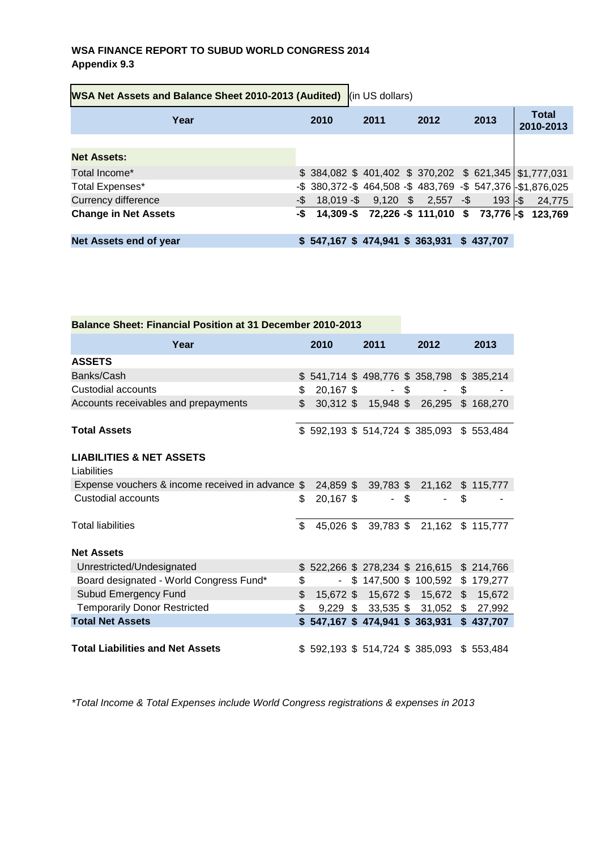# **WSA FINANCE REPORT TO SUBUD WORLD CONGRESS 2014 Appendix 9.3**

| WSA Net Assets and Balance Sheet 2010-2013 (Audited) (in US dollars) |     |      |  |                                  |  |      |  |                                                         |  |                                                              |
|----------------------------------------------------------------------|-----|------|--|----------------------------------|--|------|--|---------------------------------------------------------|--|--------------------------------------------------------------|
| Year                                                                 |     | 2010 |  | 2011                             |  | 2012 |  | 2013                                                    |  | <b>Total</b><br>2010-2013                                    |
|                                                                      |     |      |  |                                  |  |      |  |                                                         |  |                                                              |
| <b>Net Assets:</b>                                                   |     |      |  |                                  |  |      |  |                                                         |  |                                                              |
| Total Income*                                                        |     |      |  |                                  |  |      |  | \$ 384,082 \$ 401,402 \$ 370,202 \$ 621,345 \$1,777,031 |  |                                                              |
| Total Expenses*                                                      |     |      |  |                                  |  |      |  |                                                         |  | -\$ 380,372 -\$ 464,508 -\$ 483,769 -\$ 547,376 -\$1,876,025 |
| <b>Currency difference</b>                                           | -\$ |      |  | 18,019 -\$ 9,120 \$ 2,557 -\$    |  |      |  | $193 -$ \$                                              |  | 24,775                                                       |
| <b>Change in Net Assets</b>                                          | -\$ |      |  |                                  |  |      |  |                                                         |  | 14,309-\$ 72,226 -\$ 111,010 \$ 73,776 -\$ 123,769           |
|                                                                      |     |      |  |                                  |  |      |  |                                                         |  |                                                              |
| Net Assets end of year                                               |     |      |  | $$547,167$ \$ 474,941 \$ 363,931 |  |      |  | \$437.707                                               |  |                                                              |

| <b>Balance Sheet: Financial Position at 31 December 2010-2013</b> |                |             |  |        |  |                                         |    |           |
|-------------------------------------------------------------------|----------------|-------------|--|--------|--|-----------------------------------------|----|-----------|
| Year                                                              |                | 2010        |  | 2011   |  | 2012                                    |    | 2013      |
| <b>ASSETS</b>                                                     |                |             |  |        |  |                                         |    |           |
| Banks/Cash                                                        |                |             |  |        |  | \$541,714 \$498,776 \$358,798 \$385,214 |    |           |
| Custodial accounts                                                | \$             | 20,167 \$   |  | $-$ \$ |  | $\sim 10$                               | \$ |           |
| Accounts receivables and prepayments                              | \$             |             |  |        |  | 30,312 \$ 15,948 \$ 26,295              |    | \$168,270 |
|                                                                   |                |             |  |        |  |                                         |    |           |
| <b>Total Assets</b>                                               |                |             |  |        |  | $$592,193$ $$514,724$ $$385,093$        |    | \$553,484 |
|                                                                   |                |             |  |        |  |                                         |    |           |
| <b>LIABILITIES &amp; NET ASSETS</b>                               |                |             |  |        |  |                                         |    |           |
| Liabilities                                                       |                |             |  |        |  |                                         |    |           |
| Expense vouchers & income received in advance \$                  |                | 24,859 \$   |  |        |  | 39,783 \$ 21,162 \$ 115,777             |    |           |
| Custodial accounts                                                | \$             | $20,167$ \$ |  | - \$   |  |                                         | \$ |           |
|                                                                   |                |             |  |        |  |                                         |    |           |
| <b>Total liabilities</b>                                          |                | \$          |  |        |  | 45,026 \$ 39,783 \$ 21,162 \$ 115,777   |    |           |
|                                                                   |                |             |  |        |  |                                         |    |           |
| <b>Net Assets</b>                                                 |                |             |  |        |  |                                         |    |           |
| Unrestricted/Undesignated                                         |                |             |  |        |  | \$522,266 \$278,234 \$216,615           |    | \$214,766 |
| Board designated - World Congress Fund*                           | \$             | $\sim$      |  |        |  | $$147,500$ $$100,592$                   |    | \$179,277 |
| <b>Subud Emergency Fund</b>                                       | $\mathfrak{S}$ |             |  |        |  | 15,672 \$ 15,672 \$ 15,672 \$           |    | 15,672    |
| <b>Temporarily Donor Restricted</b>                               | \$             |             |  |        |  | $9,229$ \$ 33,535 \$ 31,052 \$          |    | 27,992    |
| <b>Total Net Assets</b>                                           |                |             |  |        |  | $$547,167$ $$474,941$ $$363,931$        |    | \$437,707 |
|                                                                   |                |             |  |        |  |                                         |    |           |
| <b>Total Liabilities and Net Assets</b>                           |                |             |  |        |  | \$592,193 \$514,724 \$385,093 \$553,484 |    |           |

*\*Total Income & Total Expenses include World Congress registrations & expenses in 2013*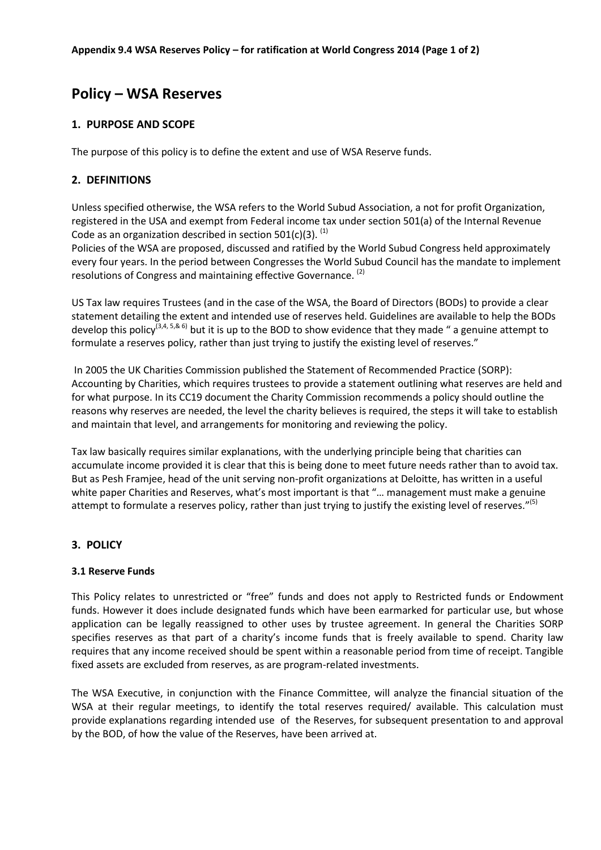# **Policy – WSA Reserves**

# **1. PURPOSE AND SCOPE**

The purpose of this policy is to define the extent and use of WSA Reserve funds.

# **2. DEFINITIONS**

Unless specified otherwise, the WSA refers to the World Subud Association, a not for profit Organization, registered in the USA and exempt from Federal income tax under section 501(a) of the Internal Revenue Code as an organization described in section  $501(c)(3)$ . <sup>(1)</sup>

Policies of the WSA are proposed, discussed and ratified by the World Subud Congress held approximately every four years. In the period between Congresses the World Subud Council has the mandate to implement resolutions of Congress and maintaining effective Governance. (2)

US Tax law requires Trustees (and in the case of the WSA, the Board of Directors (BODs) to provide a clear statement detailing the extent and intended use of reserves held. Guidelines are available to help the BODs develop this policy<sup>(3,4, 5,& 6)</sup> but it is up to the BOD to show evidence that they made " a genuine attempt to formulate a reserves policy, rather than just trying to justify the existing level of reserves."

In 2005 the UK Charities Commission published the Statement of Recommended Practice (SORP): Accounting by Charities, which requires trustees to provide a statement outlining what reserves are held and for what purpose. In its CC19 document the Charity Commission recommends a policy should outline the reasons why reserves are needed, the level the charity believes is required, the steps it will take to establish and maintain that level, and arrangements for monitoring and reviewing the policy.

Tax law basically requires similar explanations, with the underlying principle being that charities can accumulate income provided it is clear that this is being done to meet future needs rather than to avoid tax. But as Pesh Framjee, head of the unit serving non-profit organizations at Deloitte, has written in a useful white paper Charities and Reserves, what's most important is that "... management must make a genuine attempt to formulate a reserves policy, rather than just trying to justify the existing level of reserves."<sup>(5)</sup>

# **3. POLICY**

#### **3.1 Reserve Funds**

This Policy relates to unrestricted or "free" funds and does not apply to Restricted funds or Endowment funds. However it does include designated funds which have been earmarked for particular use, but whose application can be legally reassigned to other uses by trustee agreement. In general the Charities SORP specifies reserves as that part of a charity's income funds that is freely available to spend. Charity law requires that any income received should be spent within a reasonable period from time of receipt. Tangible fixed assets are excluded from reserves, as are program-related investments.

The WSA Executive, in conjunction with the Finance Committee, will analyze the financial situation of the WSA at their regular meetings, to identify the total reserves required/ available. This calculation must provide explanations regarding intended use of the Reserves, for subsequent presentation to and approval by the BOD, of how the value of the Reserves, have been arrived at.